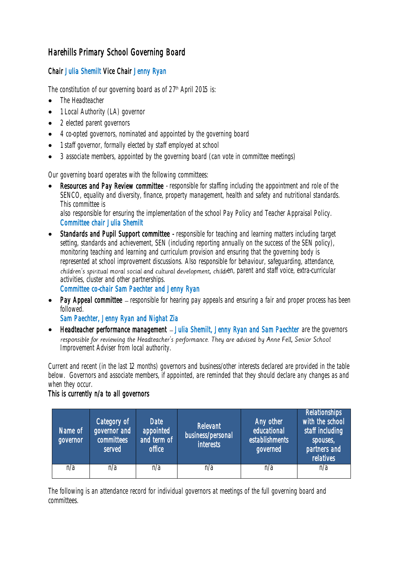## Harehills Primary School Governing Board

## Chair Julia Shemilt Vice Chair Jenny Ryan

The constitution of our governing board as of 27<sup>th</sup> April 2015 is:

- The Headteacher
- 1 Local Authority (LA) governor
- 2 elected parent governors
- 4 co-opted governors, nominated and appointed by the governing board
- 1 staff governor, formally elected by staff employed at school
- 3 associate members, appointed by the governing board (can vote in committee meetings)

Our governing board operates with the following committees:

Resources and Pay Review committee - responsible for staffing including the appointment and role of the SENCO, equality and diversity, finance, property management, health and safety and nutritional standards. This committee is

also responsible for ensuring the implementation of the school Pay Policy and Teacher Appraisal Policy. Committee chair Julia Shemilt

• Standards and Pupil Support committee - responsible for teaching and learning matters including target setting, standards and achievement, SEN (including reporting annually on the success of the SEN policy), monitoring teaching and learning and curriculum provision and ensuring that the governing body is represented at school improvement discussions. Also responsible for behaviour, safeguarding, attendance, children's spiritual moral social and cultural development, children, parent and staff voice, extra-curricular activities, cluster and other partnerships.

Committee co-chair Sam Paechter and Jenny Ryan

• Pay Appeal committee – responsible for hearing pay appeals and ensuring a fair and proper process has been followed.

Sam Paechter, Jenny Ryan and Nighat Zia

Headteacher performance management - Julia Shemilt, Jenny Ryan and Sam Paechter are the governors responsible for reviewing the Headteacher's performance. They are advised by Anne Fell, Senior School Improvement Adviser from local authority.

Current and recent (in the last 12 months) governors and business/other interests declared are provided in the table below. Governors and associate members, if appointed, are reminded that they should declare any changes as and when they occur.

## This is currently n/a to all governors

| Name of<br>governor | Category of<br>governor and<br>committees<br>served | <b>Date</b><br>appointed<br>and term of<br>office | Relevant<br>business/personal<br><b>interests</b> | Any other<br>educational<br>establishments<br>governed | <b>Relationships</b><br>with the school<br>staff including<br>spouses,<br>partners and<br>relatives |
|---------------------|-----------------------------------------------------|---------------------------------------------------|---------------------------------------------------|--------------------------------------------------------|-----------------------------------------------------------------------------------------------------|
| n/a                 | n/a                                                 | n/a                                               | n/a                                               | n/a                                                    | n/a                                                                                                 |

The following is an attendance record for individual governors at meetings of the full governing board and committees.